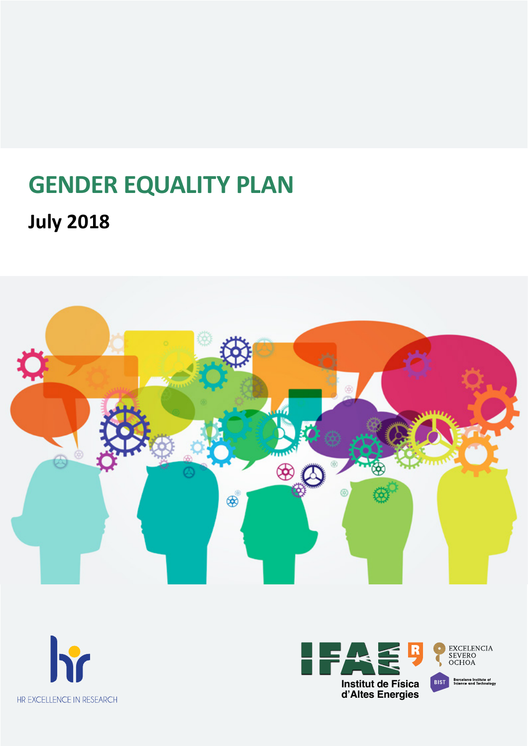# **GENDER EQUALITY PLAN July 2018**





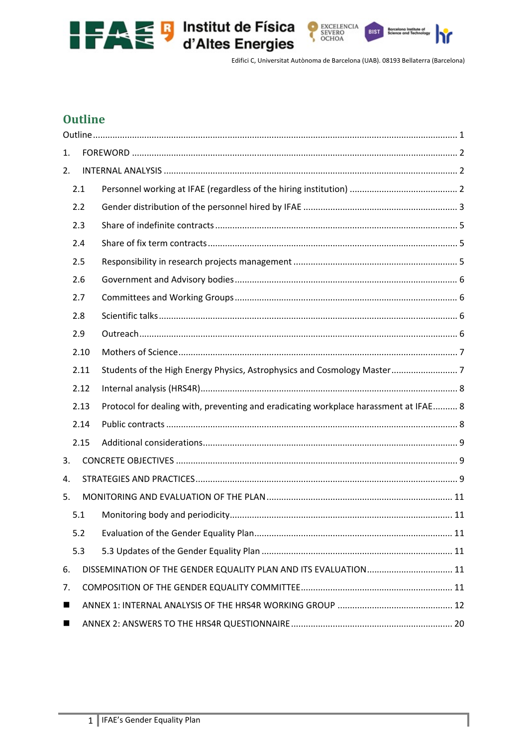



h'n

Edifici C, Universitat Autònoma de Barcelona (UAB). 08193 Bellaterra (Barcelona)

# **Outline**

| 1. |      |                                                                                      |
|----|------|--------------------------------------------------------------------------------------|
| 2. |      |                                                                                      |
|    | 2.1  |                                                                                      |
|    | 2.2  |                                                                                      |
|    | 2.3  |                                                                                      |
|    | 2.4  |                                                                                      |
|    | 2.5  |                                                                                      |
|    | 2.6  |                                                                                      |
|    | 2.7  |                                                                                      |
|    | 2.8  |                                                                                      |
|    | 2.9  |                                                                                      |
|    | 2.10 |                                                                                      |
|    | 2.11 | Students of the High Energy Physics, Astrophysics and Cosmology Master 7             |
|    | 2.12 |                                                                                      |
|    | 2.13 | Protocol for dealing with, preventing and eradicating workplace harassment at IFAE 8 |
|    | 2.14 |                                                                                      |
|    | 2.15 |                                                                                      |
| 3. |      |                                                                                      |
| 4. |      |                                                                                      |
| 5. |      |                                                                                      |
|    | 5.1  |                                                                                      |
|    | 5.2  |                                                                                      |
|    | 5.3  |                                                                                      |
| 6. |      | DISSEMINATION OF THE GENDER EQUALITY PLAN AND ITS EVALUATION 11                      |
| 7. |      |                                                                                      |
| ■  |      |                                                                                      |
| ■  |      |                                                                                      |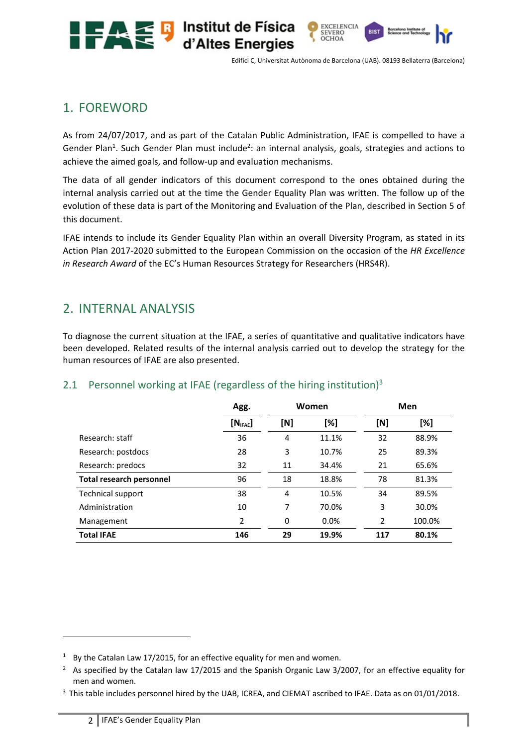



**EXCELENCIA** 

SEVERO

OCHOA

# 1. FOREWORD

As from 24/07/2017, and as part of the Catalan Public Administration, IFAE is compelled to have a Gender Plan<sup>1</sup>. Such Gender Plan must include<sup>2</sup>: an internal analysis, goals, strategies and actions to achieve the aimed goals, and follow‐up and evaluation mechanisms.

Institut de Física

d'Altes Energies

The data of all gender indicators of this document correspond to the ones obtained during the internal analysis carried out at the time the Gender Equality Plan was written. The follow up of the evolution of these data is part of the Monitoring and Evaluation of the Plan, described in Section 5 of this document.

IFAE intends to include its Gender Equality Plan within an overall Diversity Program, as stated in its Action Plan 2017‐2020 submitted to the European Commission on the occasion of the *HR Excellence in Research Award* of the EC's Human Resources Strategy for Researchers (HRS4R).

# 2. INTERNAL ANALYSIS

To diagnose the current situation at the IFAE, a series of quantitative and qualitative indicators have been developed. Related results of the internal analysis carried out to develop the strategy for the human resources of IFAE are also presented.

|                                 | Agg.                 | Women |       | Men            |        |
|---------------------------------|----------------------|-------|-------|----------------|--------|
|                                 | [N <sub>IFAE</sub> ] | [N]   | [%]   | [N]            | [%]    |
| Research: staff                 | 36                   | 4     | 11.1% | 32             | 88.9%  |
| Research: postdocs              | 28                   | 3     | 10.7% | 25             | 89.3%  |
| Research: predocs               | 32                   | 11    | 34.4% | 21             | 65.6%  |
| <b>Total research personnel</b> | 96                   | 18    | 18.8% | 78             | 81.3%  |
| Technical support               | 38                   | 4     | 10.5% | 34             | 89.5%  |
| Administration                  | 10                   | 7     | 70.0% | 3              | 30.0%  |
| Management                      | 2                    | 0     | 0.0%  | $\overline{2}$ | 100.0% |
| <b>Total IFAE</b>               | 146                  | 29    | 19.9% | 117            | 80.1%  |

# 2.1 Personnel working at IFAE (regardless of the hiring institution)<sup>3</sup>

<sup>&</sup>lt;sup>1</sup> By the Catalan Law 17/2015, for an effective equality for men and women.

<sup>&</sup>lt;sup>2</sup> As specified by the Catalan law 17/2015 and the Spanish Organic Law 3/2007, for an effective equality for men and women.

<sup>&</sup>lt;sup>3</sup> This table includes personnel hired by the UAB, ICREA, and CIEMAT ascribed to IFAE. Data as on 01/01/2018.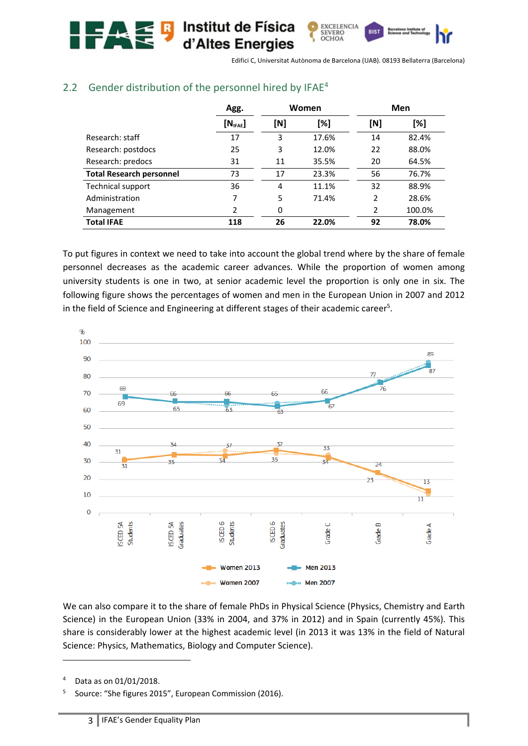#### OCHOA d'Altes Energies

Edifici C, Universitat Autònoma de Barcelona (UAB). 08193 Bellaterra (Barcelona)

EXCELENCIA<br>SEVERO

**RIST** 

|                                 | Agg.                 | Women |       |                | <b>Men</b> |
|---------------------------------|----------------------|-------|-------|----------------|------------|
|                                 | [N <sub>IFAE</sub> ] | [N]   | [%]   | [N]            | [%]        |
| Research: staff                 | 17                   | 3     | 17.6% | 14             | 82.4%      |
| Research: postdocs              | 25                   | 3     | 12.0% | 22             | 88.0%      |
| Research: predocs               | 31                   | 11    | 35.5% | 20             | 64.5%      |
| <b>Total Research personnel</b> | 73                   | 17    | 23.3% | 56             | 76.7%      |
| Technical support               | 36                   | 4     | 11.1% | 32             | 88.9%      |
| Administration                  | 7                    | 5     | 71.4% | 2              | 28.6%      |
| Management                      | $\mathfrak{p}$       | 0     |       | $\overline{2}$ | 100.0%     |
| <b>Total IFAE</b>               | 118                  | 26    | 22.0% | 92             | 78.0%      |

### 2.2 Gender distribution of the personnel hired by IFAE<sup>4</sup>

**Institut de Física** 

To put figures in context we need to take into account the global trend where by the share of female personnel decreases as the academic career advances. While the proportion of women among university students is one in two, at senior academic level the proportion is only one in six. The following figure shows the percentages of women and men in the European Union in 2007 and 2012 in the field of Science and Engineering at different stages of their academic career<sup>5</sup>.



We can also compare it to the share of female PhDs in Physical Science (Physics, Chemistry and Earth Science) in the European Union (33% in 2004, and 37% in 2012) and in Spain (currently 45%). This share is considerably lower at the highest academic level (in 2013 it was 13% in the field of Natural Science: Physics, Mathematics, Biology and Computer Science).

Data as on 01/01/2018.

<sup>5</sup> Source: "She figures 2015", European Commission (2016).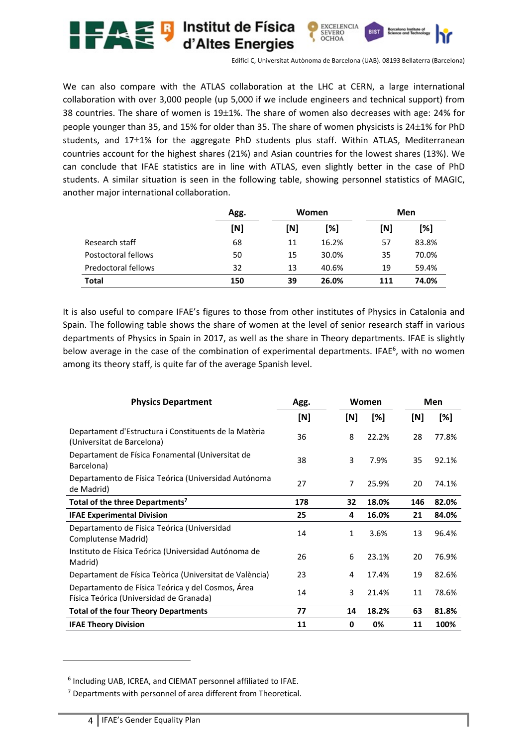

We can also compare with the ATLAS collaboration at the LHC at CERN, a large international collaboration with over 3,000 people (up 5,000 if we include engineers and technical support) from 38 countries. The share of women is  $19\pm1\%$ . The share of women also decreases with age: 24% for people younger than 35, and 15% for older than 35. The share of women physicists is  $24\pm1\%$  for PhD students, and 17±1% for the aggregate PhD students plus staff. Within ATLAS, Mediterranean countries account for the highest shares (21%) and Asian countries for the lowest shares (13%). We can conclude that IFAE statistics are in line with ATLAS, even slightly better in the case of PhD students. A similar situation is seen in the following table, showing personnel statistics of MAGIC, another major international collaboration.

|                     | Agg. | Women |       | Men |       |
|---------------------|------|-------|-------|-----|-------|
|                     | [N]  | [N]   | [%]   | [N] | [%]   |
| Research staff      | 68   | 11    | 16.2% | 57  | 83.8% |
| Postoctoral fellows | 50   | 15    | 30.0% | 35  | 70.0% |
| Predoctoral fellows | 32   | 13    | 40.6% | 19  | 59.4% |
| <b>Total</b>        | 150  | 39    | 26.0% | 111 | 74.0% |

It is also useful to compare IFAE's figures to those from other institutes of Physics in Catalonia and Spain. The following table shows the share of women at the level of senior research staff in various departments of Physics in Spain in 2017, as well as the share in Theory departments. IFAE is slightly below average in the case of the combination of experimental departments. IFAE<sup>6</sup>, with no women among its theory staff, is quite far of the average Spanish level.

| <b>Physics Department</b>                                                                    | Agg. |              | Women |     | Men   |
|----------------------------------------------------------------------------------------------|------|--------------|-------|-----|-------|
|                                                                                              | [N]  | [N]          | [%]   | [N] | [%]   |
| Departament d'Estructura i Constituents de la Matèria<br>(Universitat de Barcelona)          | 36   | 8            | 22.2% | 28  | 77.8% |
| Departament de Física Fonamental (Universitat de<br>Barcelona)                               | 38   | 3            | 7.9%  | 35  | 92.1% |
| Departamento de Física Teórica (Universidad Autónoma<br>de Madrid)                           | 27   | 7            | 25.9% | 20  | 74.1% |
| Total of the three Departments <sup>7</sup>                                                  | 178  | 32           | 18.0% | 146 | 82.0% |
| <b>IFAE Experimental Division</b>                                                            | 25   | 4            | 16.0% | 21  | 84.0% |
| Departamento de Fisica Teórica (Universidad<br>Complutense Madrid)                           | 14   | $\mathbf{1}$ | 3.6%  | 13  | 96.4% |
| Instituto de Física Teórica (Universidad Autónoma de<br>Madrid)                              | 26   | 6            | 23.1% | 20  | 76.9% |
| Departament de Física Teòrica (Universitat de València)                                      | 23   | 4            | 17.4% | 19  | 82.6% |
| Departamento de Física Teórica y del Cosmos, Área<br>Física Teórica (Universidad de Granada) | 14   | 3            | 21.4% | 11  | 78.6% |
| <b>Total of the four Theory Departments</b>                                                  | 77   | 14           | 18.2% | 63  | 81.8% |
| <b>IFAE Theory Division</b>                                                                  | 11   | 0            | 0%    | 11  | 100%  |

<sup>6</sup> Including UAB, ICREA, and CIEMAT personnel affiliated to IFAE.

<sup>&</sup>lt;sup>7</sup> Departments with personnel of area different from Theoretical.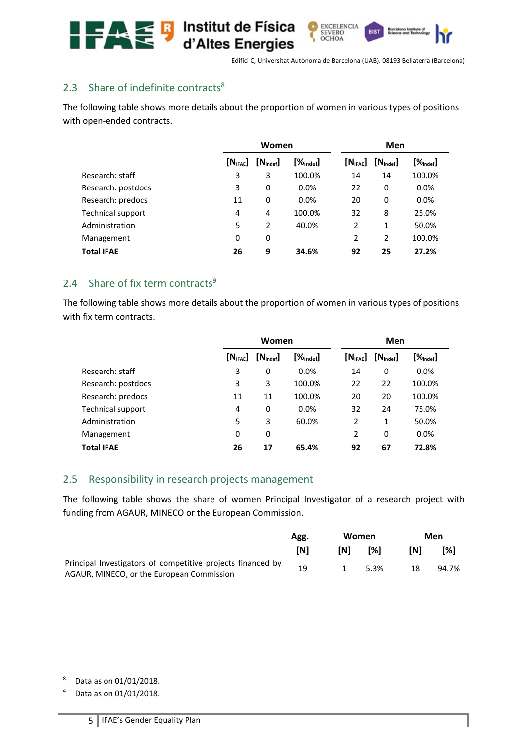

**RIST** 

EXCELENCIA<br>SEVERO<br>OCHOA

# 2.3 Share of indefinite contracts<sup>8</sup>

The following table shows more details about the proportion of women in various types of positions with open-ended contracts.

|                    | Women                |                      |                     | Men                                       |                      |                         |
|--------------------|----------------------|----------------------|---------------------|-------------------------------------------|----------------------|-------------------------|
|                    | [N <sub>IFAE</sub> ] | $[N_{\text{indef}}]$ | $[\%_{\sf{indef}}]$ | $\left[\mathsf{N}_{\mathsf{IFAE}}\right]$ | $[N_{\text{indef}}]$ | $[\%_{\mathsf{indef}}]$ |
| Research: staff    | 3                    | 3                    | 100.0%              | 14                                        | 14                   | 100.0%                  |
| Research: postdocs | 3                    | 0                    | 0.0%                | 22                                        | 0                    | 0.0%                    |
| Research: predocs  | 11                   | 0                    | 0.0%                | 20                                        | 0                    | 0.0%                    |
| Technical support  | 4                    | 4                    | 100.0%              | 32                                        | 8                    | 25.0%                   |
| Administration     | 5                    | 2                    | 40.0%               | $\overline{2}$                            | 1                    | 50.0%                   |
| Management         | 0                    | 0                    |                     | $\overline{2}$                            | 2                    | 100.0%                  |
| <b>Total IFAE</b>  | 26                   | 9                    | 34.6%               | 92                                        | 25                   | 27.2%                   |

### 2.4 Share of fix term contracts<sup>9</sup>

The following table shows more details about the proportion of women in various types of positions with fix term contracts.

|                          | Women                |                      | Men            |                     |                      |                     |
|--------------------------|----------------------|----------------------|----------------|---------------------|----------------------|---------------------|
|                          | [N <sub>IFAE</sub> ] | $[N_{\text{indef}}]$ | $[\%_{indef}]$ | $[N_{\text{IFAE}}]$ | $[N_{\text{indef}}]$ | $[\%_{\sf{indef}}]$ |
| Research: staff          | 3                    | 0                    | 0.0%           | 14                  | 0                    | 0.0%                |
| Research: postdocs       | 3                    | 3                    | 100.0%         | 22                  | 22                   | 100.0%              |
| Research: predocs        | 11                   | 11                   | 100.0%         | 20                  | 20                   | 100.0%              |
| <b>Technical support</b> | 4                    | 0                    | 0.0%           | 32                  | 24                   | 75.0%               |
| Administration           | 5                    | 3                    | 60.0%          | $\overline{2}$      | 1                    | 50.0%               |
| Management               | 0                    | 0                    |                | $\overline{2}$      | 0                    | 0.0%                |
| <b>Total IFAE</b>        | 26                   | 17                   | 65.4%          | 92                  | 67                   | 72.8%               |

### 2.5 Responsibility in research projects management

The following table shows the share of women Principal Investigator of a research project with funding from AGAUR, MINECO or the European Commission.

|                                                                                                          | Agg. |     | Women |     | Men   |
|----------------------------------------------------------------------------------------------------------|------|-----|-------|-----|-------|
|                                                                                                          | [N]  | [N] | [%]   | [N] | [%]   |
| Principal Investigators of competitive projects financed by<br>AGAUR, MINECO, or the European Commission | 19   |     | 5.3%  | 18  | 94.7% |

<sup>8</sup> Data as on 01/01/2018.

<sup>9</sup> Data as on 01/01/2018.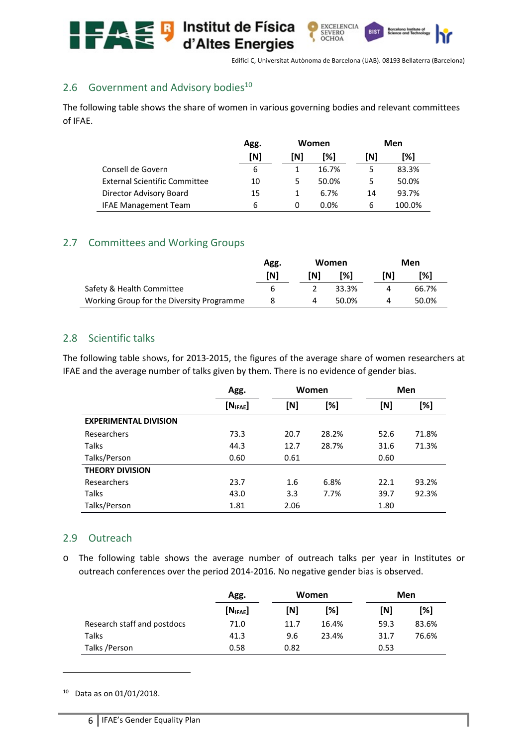

# 2.6 Government and Advisory bodies<sup>10</sup>

The following table shows the share of women in various governing bodies and relevant committees of IFAE.

|                                      | Agg. | Women |         |     | Men    |
|--------------------------------------|------|-------|---------|-----|--------|
|                                      | [N]  | [N]   | T%1     | [N] | T%1    |
| Consell de Govern                    | 6    |       | 16.7%   |     | 83.3%  |
| <b>External Scientific Committee</b> | 10   | 5     | 50.0%   |     | 50.0%  |
| Director Advisory Board              | 15   | 1     | 6.7%    | 14  | 93.7%  |
| <b>IFAE Management Team</b>          | 6    | 0     | $0.0\%$ | 6   | 100.0% |

### 2.7 Committees and Working Groups

|                                           | Agg. |     | Women         |     | Men   |
|-------------------------------------------|------|-----|---------------|-----|-------|
|                                           | [N]  | [N] | $\frac{1}{2}$ | TN1 | [%]   |
| Safety & Health Committee                 | h    |     | 33.3%         |     | 66.7% |
| Working Group for the Diversity Programme |      |     | 50.0%         |     | 50.0% |

### 2.8 Scientific talks

The following table shows, for 2013‐2015, the figures of the average share of women researchers at IFAE and the average number of talks given by them. There is no evidence of gender bias.

|                              | Agg.                 |      | Women |      | Men   |
|------------------------------|----------------------|------|-------|------|-------|
|                              | [N <sub>IFAE</sub> ] | [N]  | [%]   | [N]  | [%]   |
| <b>EXPERIMENTAL DIVISION</b> |                      |      |       |      |       |
| Researchers                  | 73.3                 | 20.7 | 28.2% | 52.6 | 71.8% |
| Talks                        | 44.3                 | 12.7 | 28.7% | 31.6 | 71.3% |
| Talks/Person                 | 0.60                 | 0.61 |       | 0.60 |       |
| <b>THEORY DIVISION</b>       |                      |      |       |      |       |
| Researchers                  | 23.7                 | 1.6  | 6.8%  | 22.1 | 93.2% |
| Talks                        | 43.0                 | 3.3  | 7.7%  | 39.7 | 92.3% |
| Talks/Person                 | 1.81                 | 2.06 |       | 1.80 |       |

### 2.9 Outreach

o The following table shows the average number of outreach talks per year in Institutes or outreach conferences over the period 2014‐2016. No negative gender bias is observed.

|                             | Agg.                 | Women |       | Men  |       |
|-----------------------------|----------------------|-------|-------|------|-------|
|                             | [N <sub>IFAE</sub> ] | [N]   | [%]   | [N]  | [%]   |
| Research staff and postdocs | 71.0                 | 11.7  | 16.4% | 59.3 | 83.6% |
| Talks                       | 41.3                 | 9.6   | 23.4% | 31.7 | 76.6% |
| Talks / Person              | 0.58                 | 0.82  |       | 0.53 |       |

<sup>10</sup> Data as on 01/01/2018.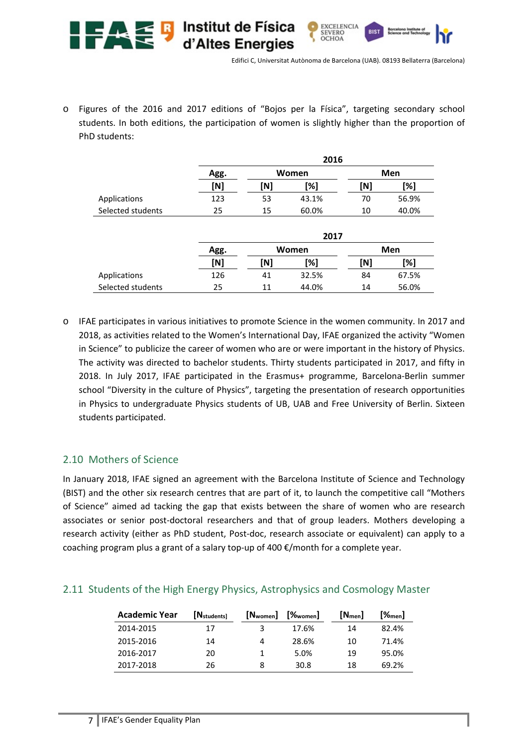

o Figures of the 2016 and 2017 editions of "Bojos per la Física", targeting secondary school students. In both editions, the participation of women is slightly higher than the proportion of PhD students:

|                   |      | 2016  |       |     |       |
|-------------------|------|-------|-------|-----|-------|
|                   | Agg. | Women |       |     | Men   |
|                   | [N]  | [N]   | [%]   | [N] | [%]   |
| Applications      | 123  | 53    | 43.1% | 70  | 56.9% |
| Selected students | 25   | 15    | 60.0% | 10  | 40.0% |
|                   |      |       | 2017  |     |       |
|                   | Agg. |       | Women |     | Men   |
|                   | [N]  | [N]   | [%]   | [N] | [%]   |
| Applications      | 126  | 41    | 32.5% | 84  | 67.5% |
| Selected students | 25   | 11    | 44.0% | 14  | 56.0% |

o IFAE participates in various initiatives to promote Science in the women community. In 2017 and 2018, as activities related to the Women's International Day, IFAE organized the activity "Women in Science" to publicize the career of women who are or were important in the history of Physics. The activity was directed to bachelor students. Thirty students participated in 2017, and fifty in 2018. In July 2017, IFAE participated in the Erasmus+ programme, Barcelona‐Berlin summer school "Diversity in the culture of Physics", targeting the presentation of research opportunities in Physics to undergraduate Physics students of UB, UAB and Free University of Berlin. Sixteen students participated.

### 2.10 Mothers of Science

In January 2018, IFAE signed an agreement with the Barcelona Institute of Science and Technology (BIST) and the other six research centres that are part of it, to launch the competitive call "Mothers of Science" aimed ad tacking the gap that exists between the share of women who are research associates or senior post-doctoral researchers and that of group leaders. Mothers developing a research activity (either as PhD student, Post-doc, research associate or equivalent) can apply to a coaching program plus a grant of a salary top‐up of 400 €/month for a complete year.

### 2.11 Students of the High Energy Physics, Astrophysics and Cosmology Master

| <b>Academic Year</b> | $[N_{\text{students}}]$ | [N <sub>women</sub> ] | $[%$ <sub>women</sub> ] | $[N_{\text{men}}]$ | $[\%_{\sf men}]$ |
|----------------------|-------------------------|-----------------------|-------------------------|--------------------|------------------|
| 2014-2015            | 17                      | 3                     | 17.6%                   | 14                 | 82.4%            |
| 2015-2016            | 14                      | 4                     | 28.6%                   | 10                 | 71.4%            |
| 2016-2017            | 20                      |                       | 5.0%                    | 19                 | 95.0%            |
| 2017-2018            | 26                      | 8                     | 30.8                    | 18                 | 69.2%            |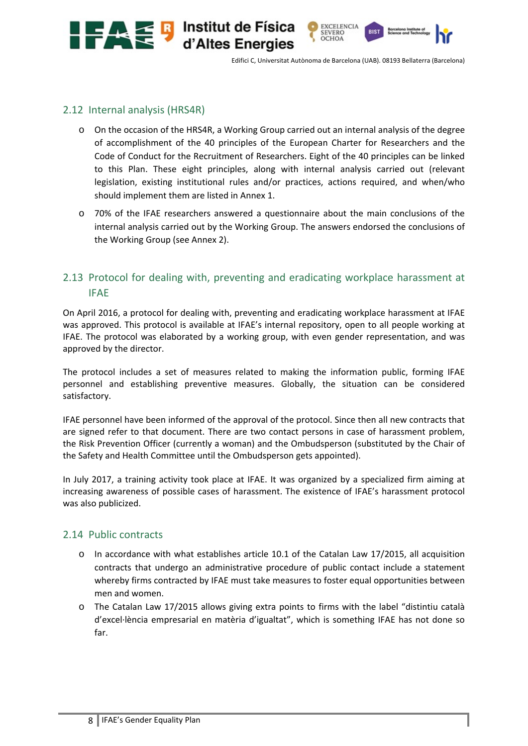



**EXCELENCIA** SEVERO OCHOA

### 2.12 Internal analysis (HRS4R)

o On the occasion of the HRS4R, a Working Group carried out an internal analysis of the degree of accomplishment of the 40 principles of the European Charter for Researchers and the Code of Conduct for the Recruitment of Researchers. Eight of the 40 principles can be linked to this Plan. These eight principles, along with internal analysis carried out (relevant legislation, existing institutional rules and/or practices, actions required, and when/who should implement them are listed in Annex 1.

Institut de Física

d'Altes Energies

o 70% of the IFAE researchers answered a questionnaire about the main conclusions of the internal analysis carried out by the Working Group. The answers endorsed the conclusions of the Working Group (see Annex 2).

# 2.13 Protocol for dealing with, preventing and eradicating workplace harassment at IFAE

On April 2016, a protocol for dealing with, preventing and eradicating workplace harassment at IFAE was approved. This protocol is available at IFAE's internal repository, open to all people working at IFAE. The protocol was elaborated by a working group, with even gender representation, and was approved by the director.

The protocol includes a set of measures related to making the information public, forming IFAE personnel and establishing preventive measures. Globally, the situation can be considered satisfactory.

IFAE personnel have been informed of the approval of the protocol. Since then all new contracts that are signed refer to that document. There are two contact persons in case of harassment problem, the Risk Prevention Officer (currently a woman) and the Ombudsperson (substituted by the Chair of the Safety and Health Committee until the Ombudsperson gets appointed).

In July 2017, a training activity took place at IFAE. It was organized by a specialized firm aiming at increasing awareness of possible cases of harassment. The existence of IFAE's harassment protocol was also publicized.

#### 2.14 Public contracts

- $\circ$  In accordance with what establishes article 10.1 of the Catalan Law 17/2015, all acquisition contracts that undergo an administrative procedure of public contact include a statement whereby firms contracted by IFAE must take measures to foster equal opportunities between men and women.
- $\circ$  The Catalan Law 17/2015 allows giving extra points to firms with the label "distintiu català d'excel∙lència empresarial en matèria d'igualtat", which is something IFAE has not done so far.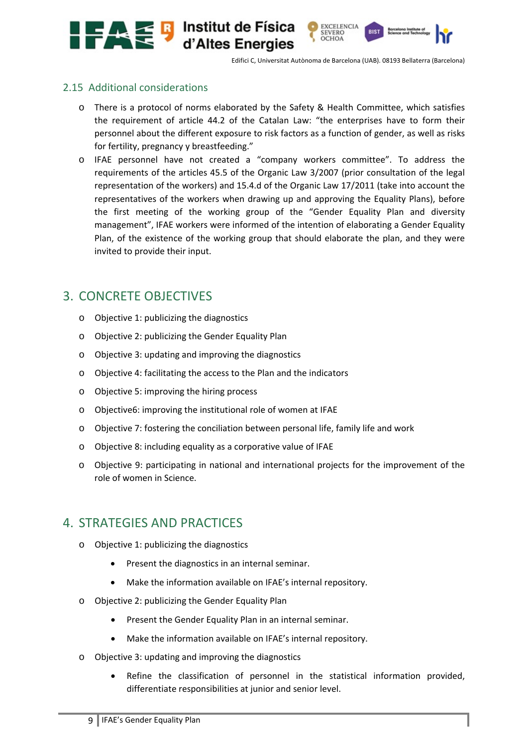

**RIST** 

EXCELENCIA<br>SEVERO

OCHOA

### 2.15 Additional considerations

- o There is a protocol of norms elaborated by the Safety & Health Committee, which satisfies the requirement of article 44.2 of the Catalan Law: "the enterprises have to form their personnel about the different exposure to risk factors as a function of gender, as well as risks for fertility, pregnancy y breastfeeding."
- o IFAE personnel have not created a "company workers committee". To address the requirements of the articles 45.5 of the Organic Law 3/2007 (prior consultation of the legal representation of the workers) and 15.4.d of the Organic Law 17/2011 (take into account the representatives of the workers when drawing up and approving the Equality Plans), before the first meeting of the working group of the "Gender Equality Plan and diversity management", IFAE workers were informed of the intention of elaborating a Gender Equality Plan, of the existence of the working group that should elaborate the plan, and they were invited to provide their input.

# 3. CONCRETE OBJECTIVES

- o Objective 1: publicizing the diagnostics
- o Objective 2: publicizing the Gender Equality Plan
- o Objective 3: updating and improving the diagnostics
- o Objective 4: facilitating the access to the Plan and the indicators
- o Objective 5: improving the hiring process
- o Objective6: improving the institutional role of women at IFAE
- o Objective 7: fostering the conciliation between personal life, family life and work
- o Objective 8: including equality as a corporative value of IFAE
- o Objective 9: participating in national and international projects for the improvement of the role of women in Science.

# 4. STRATEGIES AND PRACTICES

- o Objective 1: publicizing the diagnostics
	- Present the diagnostics in an internal seminar.
	- Make the information available on IFAE's internal repository.
- o Objective 2: publicizing the Gender Equality Plan
	- **•** Present the Gender Equality Plan in an internal seminar.
	- Make the information available on IFAE's internal repository.
- o Objective 3: updating and improving the diagnostics
	- Refine the classification of personnel in the statistical information provided, differentiate responsibilities at junior and senior level.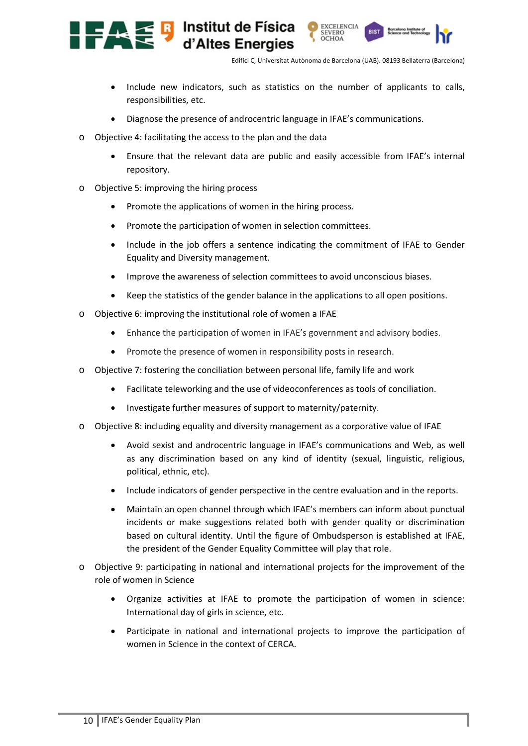**RIST** 

EXCELENCIA<br>SEVERO

OCHOA

- Include new indicators, such as statistics on the number of applicants to calls, responsibilities, etc.
- Diagnose the presence of androcentric language in IFAE's communications.
- o Objective 4: facilitating the access to the plan and the data
	- Ensure that the relevant data are public and easily accessible from IFAE's internal repository.
- o Objective 5: improving the hiring process

€₽

• Promote the applications of women in the hiring process.

Institut de Física

d'Altes Energies

- Promote the participation of women in selection committees.
- Include in the job offers a sentence indicating the commitment of IFAE to Gender Equality and Diversity management.
- Improve the awareness of selection committees to avoid unconscious biases.
- Keep the statistics of the gender balance in the applications to all open positions.
- o Objective 6: improving the institutional role of women a IFAE
	- Enhance the participation of women in IFAE's government and advisory bodies.
	- Promote the presence of women in responsibility posts in research.
- o Objective 7: fostering the conciliation between personal life, family life and work
	- Facilitate teleworking and the use of videoconferences as tools of conciliation.
	- Investigate further measures of support to maternity/paternity.
- o Objective 8: including equality and diversity management as a corporative value of IFAE
	- Avoid sexist and androcentric language in IFAE's communications and Web, as well as any discrimination based on any kind of identity (sexual, linguistic, religious, political, ethnic, etc).
	- Include indicators of gender perspective in the centre evaluation and in the reports.
	- Maintain an open channel through which IFAE's members can inform about punctual incidents or make suggestions related both with gender quality or discrimination based on cultural identity. Until the figure of Ombudsperson is established at IFAE, the president of the Gender Equality Committee will play that role.
- o Objective 9: participating in national and international projects for the improvement of the role of women in Science
	- Organize activities at IFAE to promote the participation of women in science: International day of girls in science, etc.
	- Participate in national and international projects to improve the participation of women in Science in the context of CERCA.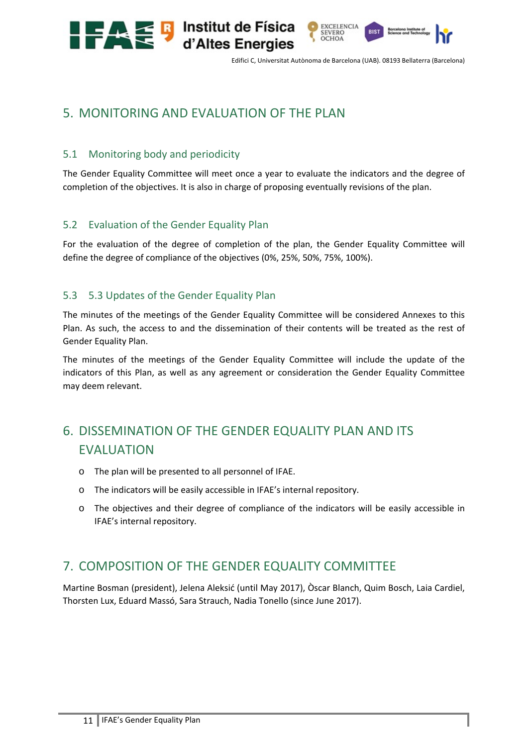

**RIST** 

EXCELENCIA<br>SEVERO

OCHOA

# 5. MONITORING AND EVALUATION OF THE PLAN

**Example 13** Institut de Física<br>d'Altes Energies

# 5.1 Monitoring body and periodicity

The Gender Equality Committee will meet once a year to evaluate the indicators and the degree of completion of the objectives. It is also in charge of proposing eventually revisions of the plan.

### 5.2 Evaluation of the Gender Equality Plan

For the evaluation of the degree of completion of the plan, the Gender Equality Committee will define the degree of compliance of the objectives (0%, 25%, 50%, 75%, 100%).

### 5.3 5.3 Updates of the Gender Equality Plan

The minutes of the meetings of the Gender Equality Committee will be considered Annexes to this Plan. As such, the access to and the dissemination of their contents will be treated as the rest of Gender Equality Plan.

The minutes of the meetings of the Gender Equality Committee will include the update of the indicators of this Plan, as well as any agreement or consideration the Gender Equality Committee may deem relevant.

# 6. DISSEMINATION OF THE GENDER EQUALITY PLAN AND ITS **FVALUATION**

- o The plan will be presented to all personnel of IFAE.
- o The indicators will be easily accessible in IFAE's internal repository.
- o The objectives and their degree of compliance of the indicators will be easily accessible in IFAE's internal repository.

# 7. COMPOSITION OF THE GENDER EQUALITY COMMITTEE

Martine Bosman (president), Jelena Aleksić (until May 2017), Òscar Blanch, Quim Bosch, Laia Cardiel, Thorsten Lux, Eduard Massó, Sara Strauch, Nadia Tonello (since June 2017).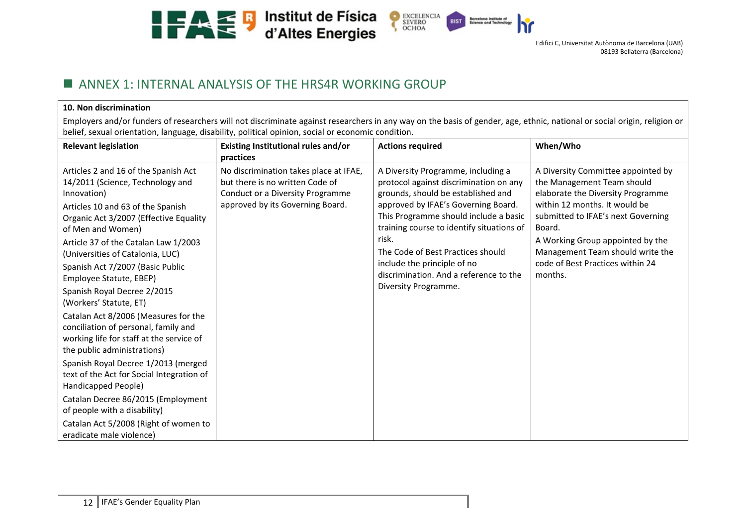



# **ANNEX 1: INTERNAL ANALYSIS OF THE HRS4R WORKING GROUP**

#### **10. Non discrimination**

Employers and/or funders of researchers will not discriminate against researchers in any way on the basis of gender, age, ethnic, national or social origin, religion or belief, sexual orientation, language, disability, political opinion, social or economic condition.

| <b>Relevant legislation</b>                                                                                                                                                                                                              | Existing Institutional rules and/or<br>practices                                                                                                  | <b>Actions required</b>                                                                                                                                                                                                                                  | When/Who                                                                                                                                                                                                                   |
|------------------------------------------------------------------------------------------------------------------------------------------------------------------------------------------------------------------------------------------|---------------------------------------------------------------------------------------------------------------------------------------------------|----------------------------------------------------------------------------------------------------------------------------------------------------------------------------------------------------------------------------------------------------------|----------------------------------------------------------------------------------------------------------------------------------------------------------------------------------------------------------------------------|
| Articles 2 and 16 of the Spanish Act<br>14/2011 (Science, Technology and<br>Innovation)<br>Articles 10 and 63 of the Spanish<br>Organic Act 3/2007 (Effective Equality<br>of Men and Women)<br>Article 37 of the Catalan Law 1/2003      | No discrimination takes place at IFAE,<br>but there is no written Code of<br>Conduct or a Diversity Programme<br>approved by its Governing Board. | A Diversity Programme, including a<br>protocol against discrimination on any<br>grounds, should be established and<br>approved by IFAE's Governing Board.<br>This Programme should include a basic<br>training course to identify situations of<br>risk. | A Diversity Committee appointed by<br>the Management Team should<br>elaborate the Diversity Programme<br>within 12 months. It would be<br>submitted to IFAE's next Governing<br>Board.<br>A Working Group appointed by the |
| (Universities of Catalonia, LUC)<br>Spanish Act 7/2007 (Basic Public<br>Employee Statute, EBEP)<br>Spanish Royal Decree 2/2015<br>(Workers' Statute, ET)<br>Catalan Act 8/2006 (Measures for the<br>conciliation of personal, family and |                                                                                                                                                   | The Code of Best Practices should<br>include the principle of no<br>discrimination. And a reference to the<br>Diversity Programme.                                                                                                                       | Management Team should write the<br>code of Best Practices within 24<br>months.                                                                                                                                            |
| working life for staff at the service of<br>the public administrations)<br>Spanish Royal Decree 1/2013 (merged<br>text of the Act for Social Integration of<br>Handicapped People)                                                       |                                                                                                                                                   |                                                                                                                                                                                                                                                          |                                                                                                                                                                                                                            |
| Catalan Decree 86/2015 (Employment<br>of people with a disability)<br>Catalan Act 5/2008 (Right of women to<br>eradicate male violence)                                                                                                  |                                                                                                                                                   |                                                                                                                                                                                                                                                          |                                                                                                                                                                                                                            |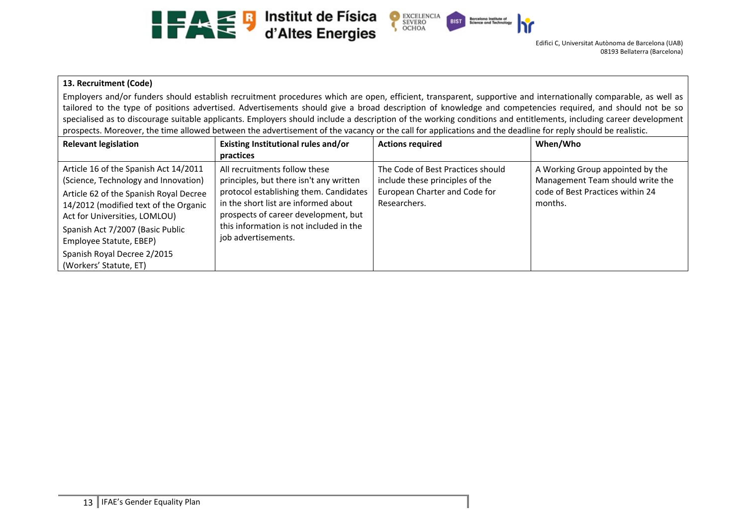



#### **13. Recruitment (Code)**

Employers and/or funders should establish recruitment procedures which are open, efficient, transparent, supportive and internationally comparable, as well as tailored to the type of positions advertised. Advertisements should give a broad description of knowledge and competencies required, and should not be so specialised as to discourage suitable applicants. Employers should include a description of the working conditions and entitlements, including career development prospects. Moreover, the time allowed between the advertisement of the vacancy or the call for applications and the deadline for reply should be realistic.

| <b>Relevant legislation</b>                                                                                                                                                                                                                                                                                               | Existing Institutional rules and/or<br>practices                                                                                                                                                                                                                     | <b>Actions required</b>                                                                                               | When/Who                                                                                                            |
|---------------------------------------------------------------------------------------------------------------------------------------------------------------------------------------------------------------------------------------------------------------------------------------------------------------------------|----------------------------------------------------------------------------------------------------------------------------------------------------------------------------------------------------------------------------------------------------------------------|-----------------------------------------------------------------------------------------------------------------------|---------------------------------------------------------------------------------------------------------------------|
| Article 16 of the Spanish Act 14/2011<br>(Science, Technology and Innovation)<br>Article 62 of the Spanish Royal Decree<br>14/2012 (modified text of the Organic<br>Act for Universities, LOMLOU)<br>Spanish Act 7/2007 (Basic Public<br>Employee Statute, EBEP)<br>Spanish Royal Decree 2/2015<br>(Workers' Statute, ET) | All recruitments follow these<br>principles, but there isn't any written<br>protocol establishing them. Candidates<br>in the short list are informed about<br>prospects of career development, but<br>this information is not included in the<br>job advertisements. | The Code of Best Practices should<br>include these principles of the<br>European Charter and Code for<br>Researchers. | A Working Group appointed by the<br>Management Team should write the<br>code of Best Practices within 24<br>months. |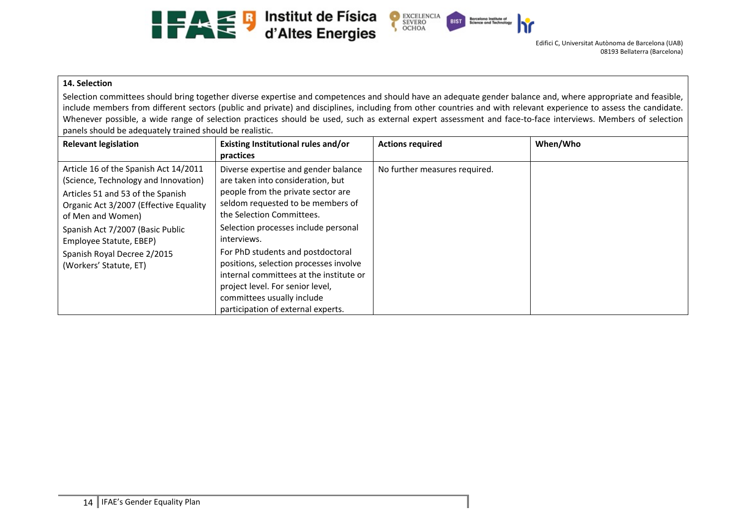





#### **14. Selection**

Selection committees should bring together diverse expertise and competences and should have an adequate gender balance and, where appropriate and feasible, include members from different sectors (public and private) and disciplines, including from other countries and with relevant experience to assess the candidate. Whenever possible, a wide range of selection practices should be used, such as external expert assessment and face-to-face interviews. Members of selection panels should be adequately trained should be realistic.

| <b>Relevant legislation</b>                                                                                                                                                                                                                                                                               | Existing Institutional rules and/or<br>practices                                                                                                                                                                                                                                                                                                                                                                                                                           | <b>Actions required</b>       | When/Who |
|-----------------------------------------------------------------------------------------------------------------------------------------------------------------------------------------------------------------------------------------------------------------------------------------------------------|----------------------------------------------------------------------------------------------------------------------------------------------------------------------------------------------------------------------------------------------------------------------------------------------------------------------------------------------------------------------------------------------------------------------------------------------------------------------------|-------------------------------|----------|
| Article 16 of the Spanish Act 14/2011<br>(Science, Technology and Innovation)<br>Articles 51 and 53 of the Spanish<br>Organic Act 3/2007 (Effective Equality<br>of Men and Women)<br>Spanish Act 7/2007 (Basic Public<br>Employee Statute, EBEP)<br>Spanish Royal Decree 2/2015<br>(Workers' Statute, ET) | Diverse expertise and gender balance<br>are taken into consideration, but<br>people from the private sector are<br>seldom requested to be members of<br>the Selection Committees.<br>Selection processes include personal<br>interviews.<br>For PhD students and postdoctoral<br>positions, selection processes involve<br>internal committees at the institute or<br>project level. For senior level,<br>committees usually include<br>participation of external experts. | No further measures required. |          |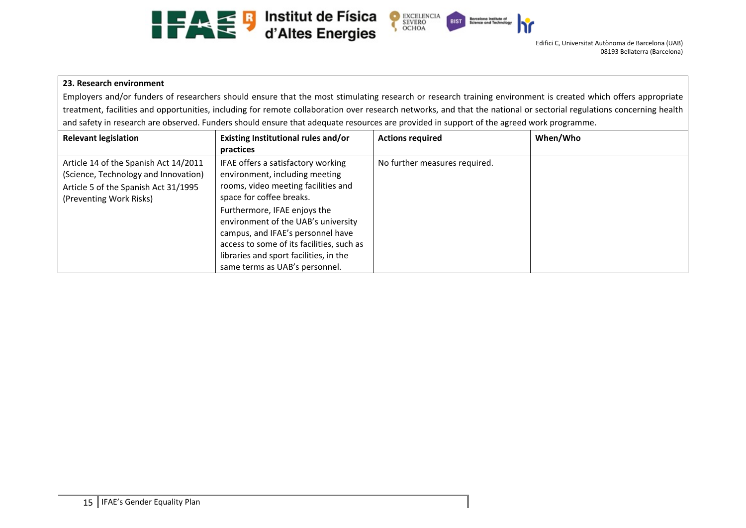





#### **23. Research environment**

Employers and/or funders of researchers should ensure that the most stimulating research or research training environment is created which offers appropriate treatment, facilities and opportunities, including for remote collaboration over research networks, and that the national or sectorial regulations concerning health and safety in research are observed. Funders should ensure that adequate resources are provided in support of the agreed work programme.

| <b>Relevant legislation</b>                                                                                                                      | Existing Institutional rules and/or<br>practices                                                                                                                                                                                                                                                                                                                             | <b>Actions required</b>       | When/Who |
|--------------------------------------------------------------------------------------------------------------------------------------------------|------------------------------------------------------------------------------------------------------------------------------------------------------------------------------------------------------------------------------------------------------------------------------------------------------------------------------------------------------------------------------|-------------------------------|----------|
| Article 14 of the Spanish Act 14/2011<br>(Science, Technology and Innovation)<br>Article 5 of the Spanish Act 31/1995<br>(Preventing Work Risks) | IFAE offers a satisfactory working<br>environment, including meeting<br>rooms, video meeting facilities and<br>space for coffee breaks.<br>Furthermore, IFAE enjoys the<br>environment of the UAB's university<br>campus, and IFAE's personnel have<br>access to some of its facilities, such as<br>libraries and sport facilities, in the<br>same terms as UAB's personnel. | No further measures required. |          |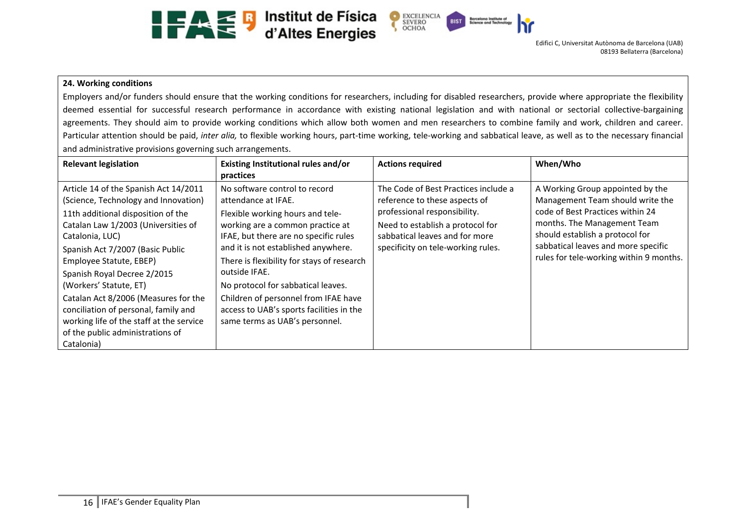



#### **24. Working conditions**

Employers and/or funders should ensure that the working conditions for researchers, including for disabled researchers, provide where appropriate the flexibility deemed essential for successful research performance in accordance with existing national legislation and with national or sectorial collective-bargaining agreements. They should aim to provide working conditions which allow both women and men researchers to combine family and work, children and career. Particular attention should be paid, *inter alia*, to flexible working hours, part-time working, tele-working and sabbatical leave, as well as to the necessary financial and administrative provisions governing such arrangements.

| <b>Relevant legislation</b>                                                                                                                                                                                                                                                                                                                                                                                                                                                         | Existing Institutional rules and/or<br>practices                                                                                                                                                                                                                                                                                                                                                                                        | <b>Actions required</b>                                                                                                                                                                                           | When/Who                                                                                                                                                                                                                                                     |
|-------------------------------------------------------------------------------------------------------------------------------------------------------------------------------------------------------------------------------------------------------------------------------------------------------------------------------------------------------------------------------------------------------------------------------------------------------------------------------------|-----------------------------------------------------------------------------------------------------------------------------------------------------------------------------------------------------------------------------------------------------------------------------------------------------------------------------------------------------------------------------------------------------------------------------------------|-------------------------------------------------------------------------------------------------------------------------------------------------------------------------------------------------------------------|--------------------------------------------------------------------------------------------------------------------------------------------------------------------------------------------------------------------------------------------------------------|
| Article 14 of the Spanish Act 14/2011<br>(Science, Technology and Innovation)<br>11th additional disposition of the<br>Catalan Law 1/2003 (Universities of<br>Catalonia, LUC)<br>Spanish Act 7/2007 (Basic Public<br>Employee Statute, EBEP)<br>Spanish Royal Decree 2/2015<br>(Workers' Statute, ET)<br>Catalan Act 8/2006 (Measures for the<br>conciliation of personal, family and<br>working life of the staff at the service<br>of the public administrations of<br>Catalonia) | No software control to record<br>attendance at IFAE.<br>Flexible working hours and tele-<br>working are a common practice at<br>IFAE, but there are no specific rules<br>and it is not established anywhere.<br>There is flexibility for stays of research<br>outside IFAE.<br>No protocol for sabbatical leaves.<br>Children of personnel from IFAE have<br>access to UAB's sports facilities in the<br>same terms as UAB's personnel. | The Code of Best Practices include a<br>reference to these aspects of<br>professional responsibility.<br>Need to establish a protocol for<br>sabbatical leaves and for more<br>specificity on tele-working rules. | A Working Group appointed by the<br>Management Team should write the<br>code of Best Practices within 24<br>months. The Management Team<br>should establish a protocol for<br>sabbatical leaves and more specific<br>rules for tele-working within 9 months. |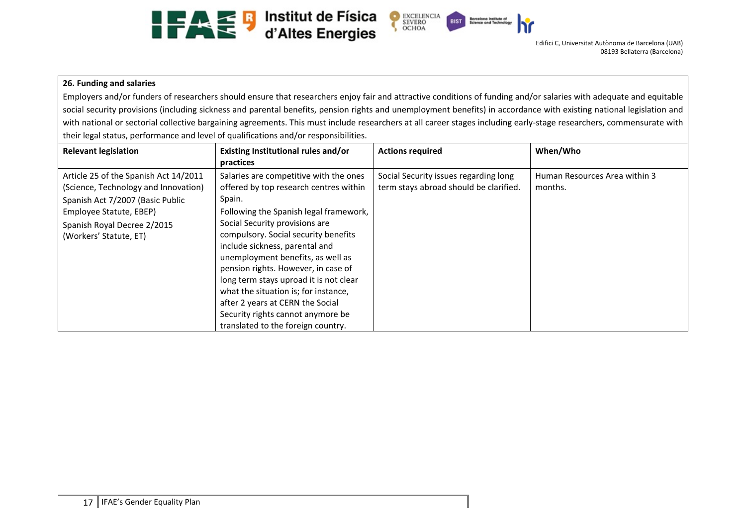





#### **26. Funding and salaries**

Employers and/or funders of researchers should ensure that researchers enjoy fair and attractive conditions of funding and/or salaries with adequate and equitable social security provisions (including sickness and parental benefits, pension rights and unemployment benefits) in accordance with existing national legislation and with national or sectorial collective bargaining agreements. This must include researchers at all career stages including early-stage researchers, commensurate with their legal status, performance and level of qualifications and/or responsibilities.

| <b>Relevant legislation</b>                                                                                                                                                                           | Existing Institutional rules and/or<br>practices                                                                                                                                                                                                                                                                                                                                                                                                                                                                              | <b>Actions required</b>                                                         | When/Who                                 |
|-------------------------------------------------------------------------------------------------------------------------------------------------------------------------------------------------------|-------------------------------------------------------------------------------------------------------------------------------------------------------------------------------------------------------------------------------------------------------------------------------------------------------------------------------------------------------------------------------------------------------------------------------------------------------------------------------------------------------------------------------|---------------------------------------------------------------------------------|------------------------------------------|
| Article 25 of the Spanish Act 14/2011<br>(Science, Technology and Innovation)<br>Spanish Act 7/2007 (Basic Public<br>Employee Statute, EBEP)<br>Spanish Royal Decree 2/2015<br>(Workers' Statute, ET) | Salaries are competitive with the ones<br>offered by top research centres within<br>Spain.<br>Following the Spanish legal framework,<br>Social Security provisions are<br>compulsory. Social security benefits<br>include sickness, parental and<br>unemployment benefits, as well as<br>pension rights. However, in case of<br>long term stays uproad it is not clear<br>what the situation is; for instance,<br>after 2 years at CERN the Social<br>Security rights cannot anymore be<br>translated to the foreign country. | Social Security issues regarding long<br>term stays abroad should be clarified. | Human Resources Area within 3<br>months. |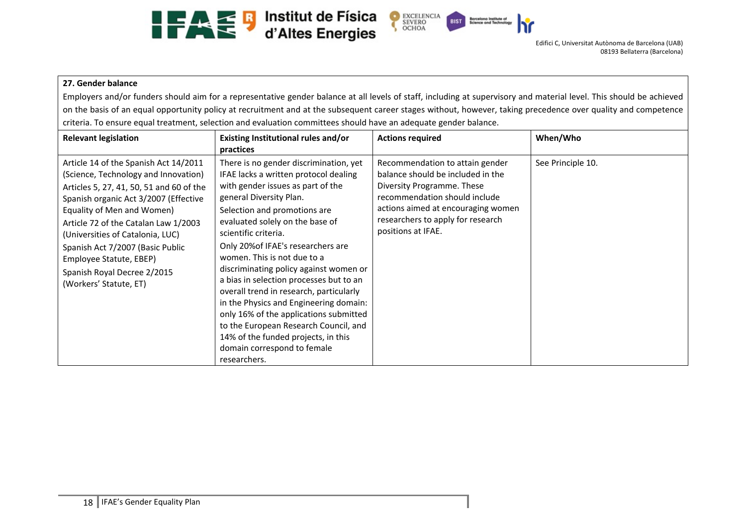



#### **27. Gender balance**

Employers and/or funders should aim for a representative gender balance at all levels of staff, including at supervisory and material level. This should be achieved on the basis of an equal opportunity policy at recruitment and at the subsequent career stages without, however, taking precedence over quality and competence criteria. To ensure equal treatment, selection and evaluation committees should have an adequate gender balance.

| <b>Relevant legislation</b>                                                                                                                                                                                                                                                                                                                                                                          | Existing Institutional rules and/or<br>practices                                                                                                                                                                                                                                                                                                                                                                                                                                                                                                                                                                                                                   | <b>Actions required</b>                                                                                                                                                                                                              | When/Who          |
|------------------------------------------------------------------------------------------------------------------------------------------------------------------------------------------------------------------------------------------------------------------------------------------------------------------------------------------------------------------------------------------------------|--------------------------------------------------------------------------------------------------------------------------------------------------------------------------------------------------------------------------------------------------------------------------------------------------------------------------------------------------------------------------------------------------------------------------------------------------------------------------------------------------------------------------------------------------------------------------------------------------------------------------------------------------------------------|--------------------------------------------------------------------------------------------------------------------------------------------------------------------------------------------------------------------------------------|-------------------|
| Article 14 of the Spanish Act 14/2011<br>(Science, Technology and Innovation)<br>Articles 5, 27, 41, 50, 51 and 60 of the<br>Spanish organic Act 3/2007 (Effective<br>Equality of Men and Women)<br>Article 72 of the Catalan Law 1/2003<br>(Universities of Catalonia, LUC)<br>Spanish Act 7/2007 (Basic Public<br>Employee Statute, EBEP)<br>Spanish Royal Decree 2/2015<br>(Workers' Statute, ET) | There is no gender discrimination, yet<br>IFAE lacks a written protocol dealing<br>with gender issues as part of the<br>general Diversity Plan.<br>Selection and promotions are<br>evaluated solely on the base of<br>scientific criteria.<br>Only 20% of IFAE's researchers are<br>women. This is not due to a<br>discriminating policy against women or<br>a bias in selection processes but to an<br>overall trend in research, particularly<br>in the Physics and Engineering domain:<br>only 16% of the applications submitted<br>to the European Research Council, and<br>14% of the funded projects, in this<br>domain correspond to female<br>researchers. | Recommendation to attain gender<br>balance should be included in the<br>Diversity Programme. These<br>recommendation should include<br>actions aimed at encouraging women<br>researchers to apply for research<br>positions at IFAE. | See Principle 10. |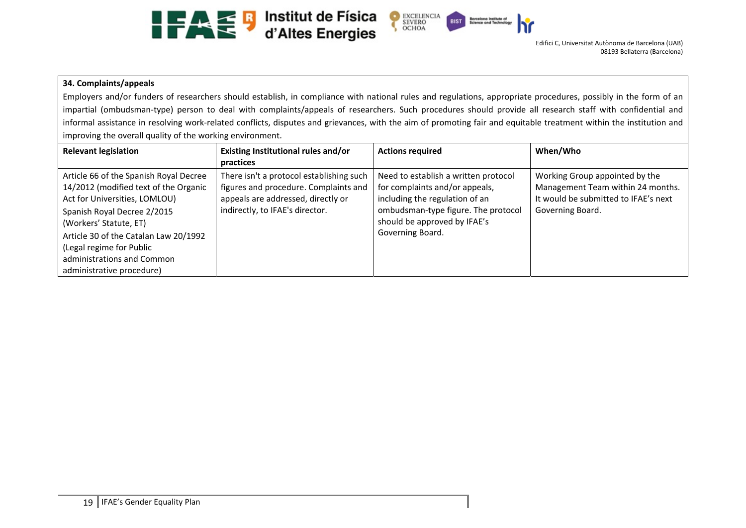



#### **34. Complaints/appeals**

Employers and/or funders of researchers should establish, in compliance with national rules and regulations, appropriate procedures, possibly in the form of an impartial (ombudsman-type) person to deal with complaints/appeals of researchers. Such procedures should provide all research staff with confidential and informal assistance in resolving work-related conflicts, disputes and grievances, with the aim of promoting fair and equitable treatment within the institution and improving the overall quality of the working environment.

| <b>Relevant legislation</b>                                                                                                                                                                                                                                                                               | Existing Institutional rules and/or<br>practices                                                                                                           | <b>Actions required</b>                                                                                                                                                                             | When/Who                                                                                                                        |
|-----------------------------------------------------------------------------------------------------------------------------------------------------------------------------------------------------------------------------------------------------------------------------------------------------------|------------------------------------------------------------------------------------------------------------------------------------------------------------|-----------------------------------------------------------------------------------------------------------------------------------------------------------------------------------------------------|---------------------------------------------------------------------------------------------------------------------------------|
| Article 66 of the Spanish Royal Decree<br>14/2012 (modified text of the Organic<br>Act for Universities, LOMLOU)<br>Spanish Royal Decree 2/2015<br>(Workers' Statute, ET)<br>Article 30 of the Catalan Law 20/1992<br>(Legal regime for Public<br>administrations and Common<br>administrative procedure) | There isn't a protocol establishing such<br>figures and procedure. Complaints and<br>appeals are addressed, directly or<br>indirectly, to IFAE's director. | Need to establish a written protocol<br>for complaints and/or appeals,<br>including the regulation of an<br>ombudsman-type figure. The protocol<br>should be approved by IFAE's<br>Governing Board. | Working Group appointed by the<br>Management Team within 24 months.<br>It would be submitted to IFAE's next<br>Governing Board. |